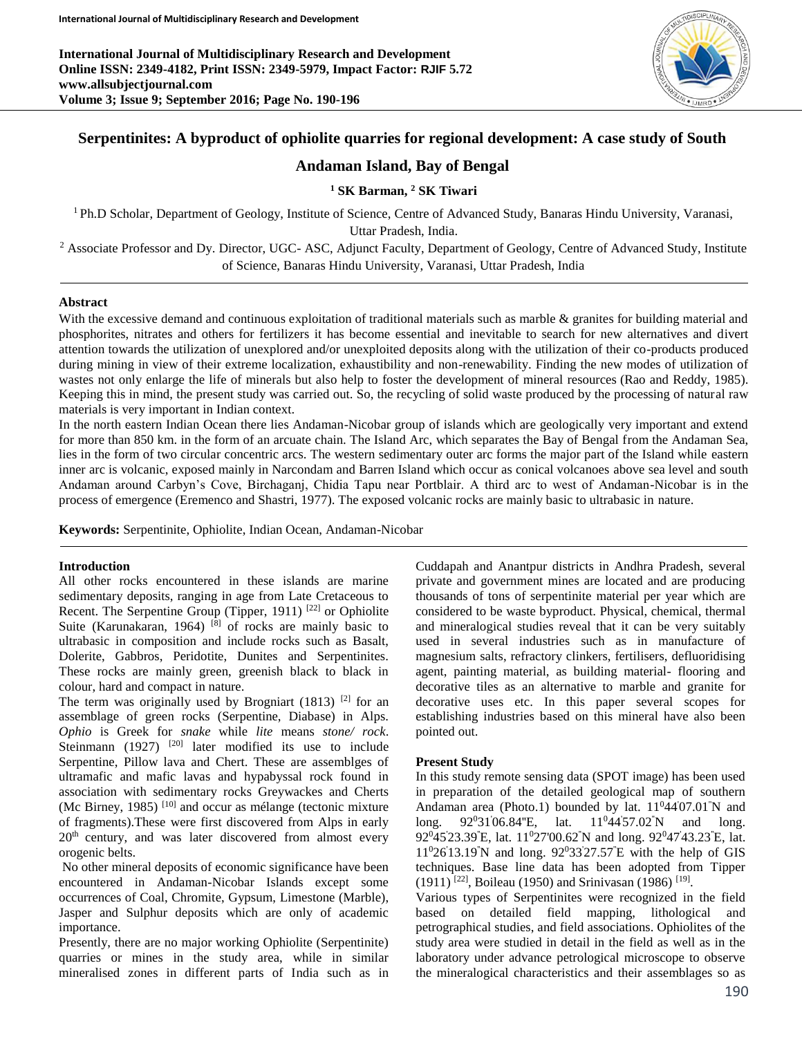**International Journal of Multidisciplinary Research and Development Online ISSN: 2349-4182, Print ISSN: 2349-5979, Impact Factor: RJIF 5.72 www.allsubjectjournal.com Volume 3; Issue 9; September 2016; Page No. 190-196**



## **Serpentinites: A byproduct of ophiolite quarries for regional development: A case study of South**

## **Andaman Island, Bay of Bengal**

**<sup>1</sup> SK Barman, <sup>2</sup> SK Tiwari**

<sup>1</sup>Ph.D Scholar, Department of Geology, Institute of Science, Centre of Advanced Study, Banaras Hindu University, Varanasi,

Uttar Pradesh, India.

<sup>2</sup> Associate Professor and Dy. Director, UGC- ASC, Adjunct Faculty, Department of Geology, Centre of Advanced Study, Institute of Science, Banaras Hindu University, Varanasi, Uttar Pradesh, India

#### **Abstract**

With the excessive demand and continuous exploitation of traditional materials such as marble & granites for building material and phosphorites, nitrates and others for fertilizers it has become essential and inevitable to search for new alternatives and divert attention towards the utilization of unexplored and/or unexploited deposits along with the utilization of their co-products produced during mining in view of their extreme localization, exhaustibility and non-renewability. Finding the new modes of utilization of wastes not only enlarge the life of minerals but also help to foster the development of mineral resources (Rao and Reddy, 1985). Keeping this in mind, the present study was carried out. So, the recycling of solid waste produced by the processing of natural raw materials is very important in Indian context.

In the north eastern Indian Ocean there lies Andaman-Nicobar group of islands which are geologically very important and extend for more than 850 km. in the form of an arcuate chain. The Island Arc, which separates the Bay of Bengal from the Andaman Sea, lies in the form of two circular concentric arcs. The western sedimentary outer arc forms the major part of the Island while eastern inner arc is volcanic, exposed mainly in Narcondam and Barren Island which occur as conical volcanoes above sea level and south Andaman around Carbyn's Cove, Birchaganj, Chidia Tapu near Portblair. A third arc to west of Andaman-Nicobar is in the process of emergence (Eremenco and Shastri, 1977). The exposed volcanic rocks are mainly basic to ultrabasic in nature.

**Keywords:** Serpentinite, Ophiolite, Indian Ocean, Andaman-Nicobar

### **Introduction**

All other rocks encountered in these islands are marine sedimentary deposits, ranging in age from Late Cretaceous to Recent. The Serpentine Group (Tipper, 1911)  $[22]$  or Ophiolite Suite (Karunakaran, 1964)<sup>[8]</sup> of rocks are mainly basic to ultrabasic in composition and include rocks such as Basalt, Dolerite, Gabbros, Peridotite, Dunites and Serpentinites. These rocks are mainly green, greenish black to black in colour, hard and compact in nature.

The term was originally used by Brogniart (1813) <sup>[2]</sup> for an assemblage of green rocks (Serpentine, Diabase) in Alps. *Ophio* is Greek for *snake* while *lite* means *stone/ rock*. Steinmann  $(1927)$  <sup>[20]</sup> later modified its use to include Serpentine, Pillow lava and Chert. These are assemblges of ultramafic and mafic lavas and hypabyssal rock found in association with sedimentary rocks Greywackes and Cherts (Mc Birney, 1985)  $[10]$  and occur as mélange (tectonic mixture of fragments).These were first discovered from Alps in early 20<sup>th</sup> century, and was later discovered from almost every orogenic belts.

No other mineral deposits of economic significance have been encountered in Andaman-Nicobar Islands except some occurrences of Coal, Chromite, Gypsum, Limestone (Marble), Jasper and Sulphur deposits which are only of academic importance.

Presently, there are no major working Ophiolite (Serpentinite) quarries or mines in the study area, while in similar mineralised zones in different parts of India such as in Cuddapah and Anantpur districts in Andhra Pradesh, several private and government mines are located and are producing thousands of tons of serpentinite material per year which are considered to be waste byproduct. Physical, chemical, thermal and mineralogical studies reveal that it can be very suitably used in several industries such as in manufacture of magnesium salts, refractory clinkers, fertilisers, defluoridising agent, painting material, as building material- flooring and decorative tiles as an alternative to marble and granite for decorative uses etc. In this paper several scopes for establishing industries based on this mineral have also been pointed out.

### **Present Study**

In this study remote sensing data (SPOT image) has been used in preparation of the detailed geological map of southern Andaman area (Photo.1) bounded by lat.  $11^044'07.01'N$  and long. 92<sup>0</sup>31'06.84"E, lat. 11<sup>0</sup>44'57.02"N and long. 92<sup>0</sup>45'23.39"E, lat. 11<sup>0</sup>27'00.62"N and long. 92<sup>0</sup>47'43.23"E, lat.  $11^{0}26'13.19''N$  and long.  $92^{0}33'27.57'E$  with the help of GIS techniques. Base line data has been adopted from Tipper  $(1911)$ <sup>[22]</sup>, Boileau (1950) and Srinivasan (1986)<sup>[19]</sup>.

Various types of Serpentinites were recognized in the field based on detailed field mapping, lithological and petrographical studies, and field associations. Ophiolites of the study area were studied in detail in the field as well as in the laboratory under advance petrological microscope to observe the mineralogical characteristics and their assemblages so as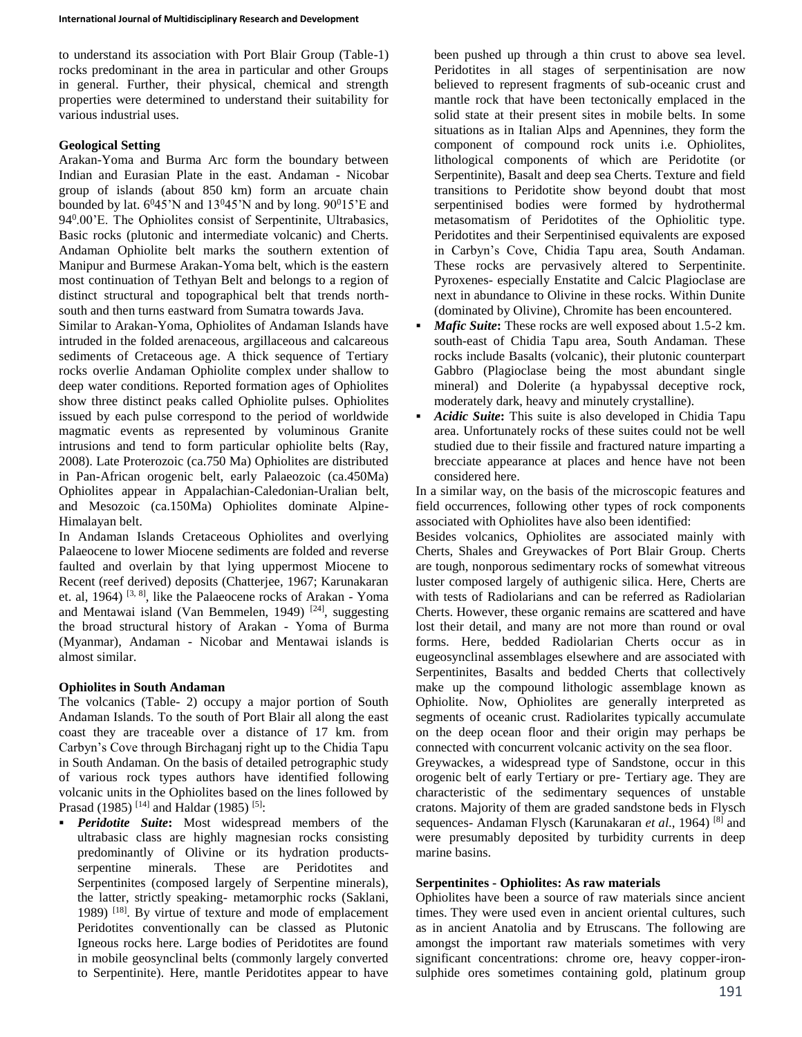to understand its association with Port Blair Group (Table-1) rocks predominant in the area in particular and other Groups in general. Further, their physical, chemical and strength properties were determined to understand their suitability for various industrial uses.

### **Geological Setting**

Arakan-Yoma and Burma Arc form the boundary between Indian and Eurasian Plate in the east. Andaman - Nicobar group of islands (about 850 km) form an arcuate chain bounded by lat.  $6^045'N$  and  $13^045'N$  and by long.  $90^015'E$  and 94<sup>0</sup> .00'E. The Ophiolites consist of Serpentinite, Ultrabasics, Basic rocks (plutonic and intermediate volcanic) and Cherts. Andaman Ophiolite belt marks the southern extention of Manipur and Burmese Arakan-Yoma belt, which is the eastern most continuation of Tethyan Belt and belongs to a region of distinct structural and topographical belt that trends northsouth and then turns eastward from Sumatra towards Java.

Similar to Arakan-Yoma, Ophiolites of Andaman Islands have intruded in the folded arenaceous, argillaceous and calcareous sediments of Cretaceous age. A thick sequence of Tertiary rocks overlie Andaman Ophiolite complex under shallow to deep water conditions. Reported formation ages of Ophiolites show three distinct peaks called Ophiolite pulses. Ophiolites issued by each pulse correspond to the period of worldwide magmatic events as represented by voluminous Granite intrusions and tend to form particular ophiolite belts (Ray, 2008). Late Proterozoic (ca.750 Ma) Ophiolites are distributed in Pan-African orogenic belt, early Palaeozoic (ca.450Ma) Ophiolites appear in Appalachian-Caledonian-Uralian belt, and Mesozoic (ca.150Ma) Ophiolites dominate Alpine-Himalayan belt.

In Andaman Islands Cretaceous Ophiolites and overlying Palaeocene to lower Miocene sediments are folded and reverse faulted and overlain by that lying uppermost Miocene to Recent (reef derived) deposits (Chatterjee, 1967; Karunakaran et. al, 1964)<sup>[3, 8]</sup>, like the Palaeocene rocks of Arakan - Yoma and Mentawai island (Van Bemmelen, 1949)  $[24]$ , suggesting the broad structural history of Arakan - Yoma of Burma (Myanmar), Andaman - Nicobar and Mentawai islands is almost similar.

## **Ophiolites in South Andaman**

The volcanics (Table- 2) occupy a major portion of South Andaman Islands. To the south of Port Blair all along the east coast they are traceable over a distance of 17 km. from Carbyn's Cove through Birchaganj right up to the Chidia Tapu in South Andaman. On the basis of detailed petrographic study of various rock types authors have identified following volcanic units in the Ophiolites based on the lines followed by Prasad (1985)<sup>[14]</sup> and Haldar (1985)<sup>[5]</sup>:

 *Peridotite Suite***:** Most widespread members of the ultrabasic class are highly magnesian rocks consisting predominantly of Olivine or its hydration productsserpentine minerals. These are Peridotites and Serpentinites (composed largely of Serpentine minerals), the latter, strictly speaking- metamorphic rocks (Saklani, 1989) [18]. By virtue of texture and mode of emplacement Peridotites conventionally can be classed as Plutonic Igneous rocks here. Large bodies of Peridotites are found in mobile geosynclinal belts (commonly largely converted to Serpentinite). Here, mantle Peridotites appear to have

been pushed up through a thin crust to above sea level. Peridotites in all stages of serpentinisation are now believed to represent fragments of sub-oceanic crust and mantle rock that have been tectonically emplaced in the solid state at their present sites in mobile belts. In some situations as in Italian Alps and Apennines, they form the component of compound rock units i.e. Ophiolites, lithological components of which are Peridotite (or Serpentinite), Basalt and deep sea Cherts. Texture and field transitions to Peridotite show beyond doubt that most serpentinised bodies were formed by hydrothermal metasomatism of Peridotites of the Ophiolitic type. Peridotites and their Serpentinised equivalents are exposed in Carbyn's Cove, Chidia Tapu area, South Andaman. These rocks are pervasively altered to Serpentinite. Pyroxenes- especially Enstatite and Calcic Plagioclase are next in abundance to Olivine in these rocks. Within Dunite (dominated by Olivine), Chromite has been encountered.

- *Mafic Suite***:** These rocks are well exposed about 1.5-2 km. south-east of Chidia Tapu area, South Andaman. These rocks include Basalts (volcanic), their plutonic counterpart Gabbro (Plagioclase being the most abundant single mineral) and Dolerite (a hypabyssal deceptive rock, moderately dark, heavy and minutely crystalline).
- *Acidic Suite***:** This suite is also developed in Chidia Tapu area. Unfortunately rocks of these suites could not be well studied due to their fissile and fractured nature imparting a brecciate appearance at places and hence have not been considered here.

In a similar way, on the basis of the microscopic features and field occurrences, following other types of rock components associated with Ophiolites have also been identified:

Besides volcanics, Ophiolites are associated mainly with Cherts, Shales and Greywackes of Port Blair Group. Cherts are tough, nonporous sedimentary rocks of somewhat vitreous luster composed largely of authigenic silica. Here, Cherts are with tests of Radiolarians and can be referred as Radiolarian Cherts. However, these organic remains are scattered and have lost their detail, and many are not more than round or oval forms. Here, bedded Radiolarian Cherts occur as in eugeosynclinal assemblages elsewhere and are associated with Serpentinites, Basalts and bedded Cherts that collectively make up the compound lithologic assemblage known as Ophiolite. Now, Ophiolites are generally interpreted as segments of oceanic crust. Radiolarites typically accumulate on the deep ocean floor and their origin may perhaps be connected with concurrent volcanic activity on the sea floor.

Greywackes, a widespread type of Sandstone, occur in this orogenic belt of early Tertiary or pre- Tertiary age. They are characteristic of the sedimentary sequences of unstable cratons. Majority of them are graded sandstone beds in Flysch sequences- Andaman Flysch (Karunakaran *et al*., 1964) [8] and were presumably deposited by turbidity currents in deep marine basins.

## **Serpentinites - Ophiolites: As raw materials**

Ophiolites have been a source of raw materials since ancient times. They were used even in ancient oriental cultures, such as in ancient Anatolia and by Etruscans. The following are amongst the important raw materials sometimes with very significant concentrations: chrome ore, heavy copper-ironsulphide ores sometimes containing gold, platinum group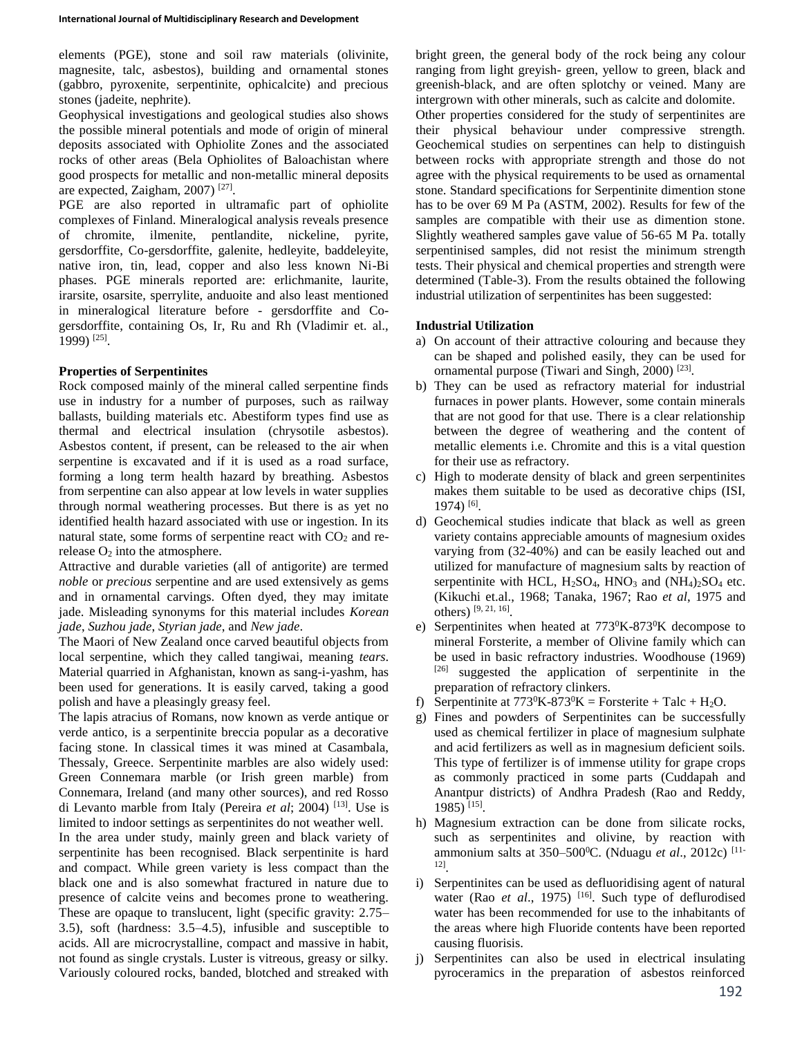elements (PGE), stone and soil raw materials (olivinite, magnesite, talc, asbestos), building and ornamental stones (gabbro, pyroxenite, serpentinite, ophicalcite) and precious stones (jadeite, nephrite).

Geophysical investigations and geological studies also shows the possible mineral potentials and mode of origin of mineral deposits associated with Ophiolite Zones and the associated rocks of other areas (Bela Ophiolites of Baloachistan where good prospects for metallic and non-metallic mineral deposits are expected, Zaigham, 2007)<sup>[27]</sup>.

PGE are also reported in ultramafic part of ophiolite complexes of Finland. Mineralogical analysis reveals presence of chromite, ilmenite, pentlandite, nickeline, pyrite, gersdorffite, Co-gersdorffite, galenite, hedleyite, baddeleyite, native iron, tin, lead, copper and also less known Ni-Bi phases. PGE minerals reported are: erlichmanite, laurite, irarsite, osarsite, sperrylite, anduoite and also least mentioned in mineralogical literature before - gersdorffite and Cogersdorffite, containing Os, Ir, Ru and Rh (Vladimir et. al., 1999) [25] .

#### **Properties of Serpentinites**

Rock composed mainly of the mineral called serpentine finds use in industry for a number of purposes, such as railway ballasts, building materials etc. Abestiform types find use as thermal and electrical insulation (chrysotile asbestos). Asbestos content, if present, can be released to the air when serpentine is excavated and if it is used as a road surface, forming a long term health hazard by breathing. Asbestos from serpentine can also appear at low levels in water supplies through normal weathering processes. But there is as yet no identified health hazard associated with use or ingestion. In its natural state, some forms of serpentine react with  $CO<sub>2</sub>$  and rerelease  $O_2$  into the atmosphere.

Attractive and durable varieties (all of antigorite) are termed *noble* or *precious* serpentine and are used extensively as gems and in ornamental carvings. Often dyed, they may imitate jade. Misleading synonyms for this material includes *Korean jade*, *Suzhou jade*, *Styrian jade*, and *New jade*.

The Maori of New Zealand once carved beautiful objects from local serpentine, which they called tangiwai, meaning *tears*. Material quarried in Afghanistan, known as sang-i-yashm, has been used for generations. It is easily carved, taking a good polish and have a pleasingly greasy feel.

The lapis atracius of Romans, now known as verde antique or verde antico, is a serpentinite breccia popular as a decorative facing stone. In classical times it was mined at Casambala, Thessaly, Greece. Serpentinite marbles are also widely used: Green Connemara marble (or Irish green marble) from Connemara, Ireland (and many other sources), and red Rosso di Levanto marble from Italy (Pereira *et al*; 2004) [13]. Use is limited to indoor settings as serpentinites do not weather well. In the area under study, mainly green and black variety of serpentinite has been recognised. Black serpentinite is hard and compact. While green variety is less compact than the black one and is also somewhat fractured in nature due to presence of calcite veins and becomes prone to weathering. These are opaque to translucent, light (specific gravity: 2.75– 3.5), soft (hardness: 3.5–4.5), infusible and susceptible to acids. All are microcrystalline, compact and massive in habit, not found as single crystals. Luster is vitreous, greasy or silky. Variously coloured rocks, banded, blotched and streaked with

bright green, the general body of the rock being any colour ranging from light greyish- green, yellow to green, black and greenish-black, and are often splotchy or veined. Many are intergrown with other minerals, such as calcite and dolomite. Other properties considered for the study of serpentinites are their physical behaviour under compressive strength. Geochemical studies on serpentines can help to distinguish between rocks with appropriate strength and those do not agree with the physical requirements to be used as ornamental stone. Standard specifications for Serpentinite dimention stone has to be over 69 M Pa (ASTM, 2002). Results for few of the samples are compatible with their use as dimention stone. Slightly weathered samples gave value of 56-65 M Pa. totally serpentinised samples, did not resist the minimum strength tests. Their physical and chemical properties and strength were determined (Table-3). From the results obtained the following industrial utilization of serpentinites has been suggested:

## **Industrial Utilization**

- a) On account of their attractive colouring and because they can be shaped and polished easily, they can be used for ornamental purpose (Tiwari and Singh, 2000)<sup>[23]</sup>.
- b) They can be used as refractory material for industrial furnaces in power plants. However, some contain minerals that are not good for that use. There is a clear relationship between the degree of weathering and the content of metallic elements i.e. Chromite and this is a vital question for their use as refractory.
- c) High to moderate density of black and green serpentinites makes them suitable to be used as decorative chips (ISI, 1974) [6] .
- d) Geochemical studies indicate that black as well as green variety contains appreciable amounts of magnesium oxides varying from (32-40%) and can be easily leached out and utilized for manufacture of magnesium salts by reaction of serpentinite with HCL,  $H_2SO_4$ , HNO<sub>3</sub> and  $(NH_4)_2SO_4$  etc. (Kikuchi et.al., 1968; Tanaka, 1967; Rao *et al*, 1975 and others) [9, 21, 16] .
- e) Serpentinites when heated at 773<sup>0</sup>K-873<sup>0</sup>K decompose to mineral Forsterite, a member of Olivine family which can be used in basic refractory industries. Woodhouse (1969) [26] suggested the application of serpentinite in the preparation of refractory clinkers.
- f) Serpentinite at  $773^0K 873^0K =$  Forsterite + Talc + H<sub>2</sub>O.
- g) Fines and powders of Serpentinites can be successfully used as chemical fertilizer in place of magnesium sulphate and acid fertilizers as well as in magnesium deficient soils. This type of fertilizer is of immense utility for grape crops as commonly practiced in some parts (Cuddapah and Anantpur districts) of Andhra Pradesh (Rao and Reddy, 1985) [15] .
- h) Magnesium extraction can be done from silicate rocks, such as serpentinites and olivine, by reaction with ammonium salts at 350–500<sup>o</sup>C. (Nduagu *et al.*, 2012c)<sup>[11-</sup> 12] .
- i) Serpentinites can be used as defluoridising agent of natural water (Rao *et al.*, 1975) <sup>[16]</sup>. Such type of deflurodised water has been recommended for use to the inhabitants of the areas where high Fluoride contents have been reported causing fluorisis.
- j) Serpentinites can also be used in electrical insulating pyroceramics in the preparation of asbestos reinforced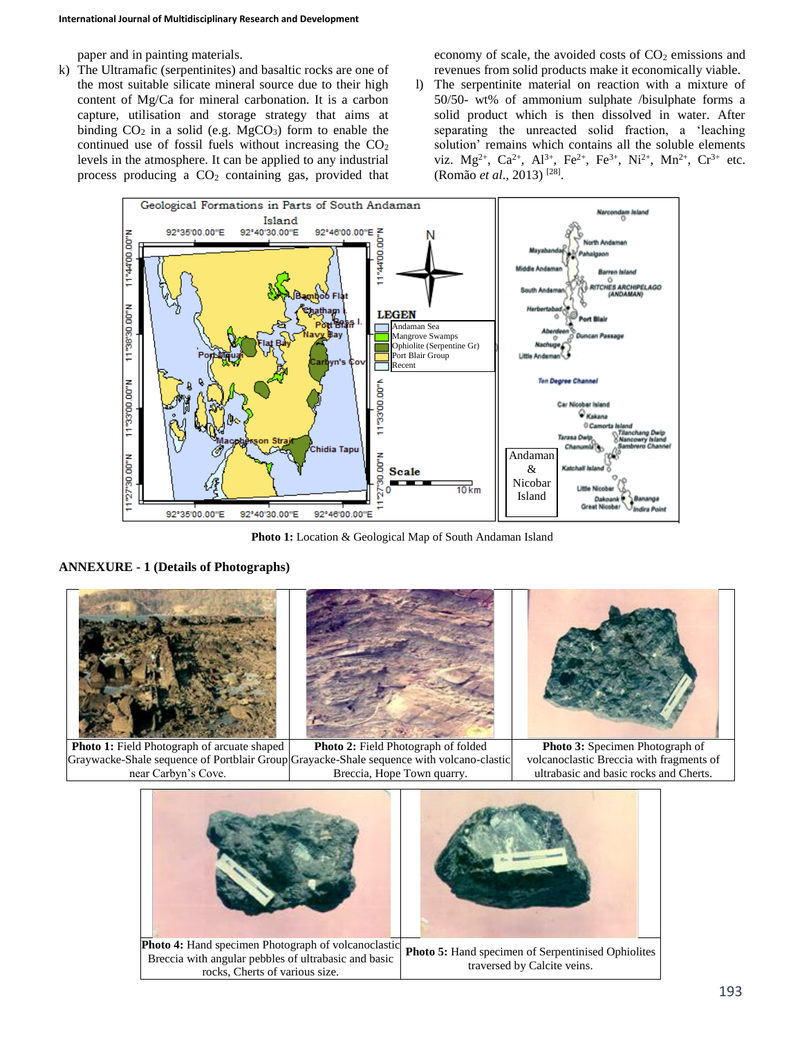paper and in painting materials.

k) The Ultramafic (serpentinites) and basaltic rocks are one of the most suitable silicate mineral source due to their high content of Mg/Ca for mineral carbonation. It is a carbon capture, utilisation and storage strategy that aims at binding  $CO_2$  in a solid (e.g. MgCO<sub>3</sub>) form to enable the continued use of fossil fuels without increasing the  $CO<sub>2</sub>$ levels in the atmosphere. It can be applied to any industrial process producing a  $CO<sub>2</sub>$  containing gas, provided that economy of scale, the avoided costs of  $CO<sub>2</sub>$  emissions and revenues from solid products make it economically viable.

l) The serpentinite material on reaction with a mixture of 50/50- wt% of ammonium sulphate /bisulphate forms a solid product which is then dissolved in water. After separating the unreacted solid fraction, a 'leaching solution' remains which contains all the soluble elements viz.  $Mg^{2+}$ ,  $Ca^{2+}$ ,  $Al^{3+}$ ,  $Fe^{2+}$ ,  $Fe^{3+}$ ,  $Ni^{2+}$ ,  $Mn^{2+}$ ,  $Cr^{3+}$  etc. (Romão *et al*., 2013) [28] .



**Photo 1:** Location & Geological Map of South Andaman Island

## **ANNEXURE - 1 (Details of Photographs)**



**Photo 1:** Field Photograph of arcuate shaped Graywacke-Shale sequence of Portblair Group Grayacke-Shale sequence with volcano-clastic near Carbyn's Cove. **Photo 2:** Field Photograph of folded Breccia, Hope Town quarry.

**Photo 3:** Specimen Photograph of volcanoclastic Breccia with fragments of ultrabasic and basic rocks and Cherts.

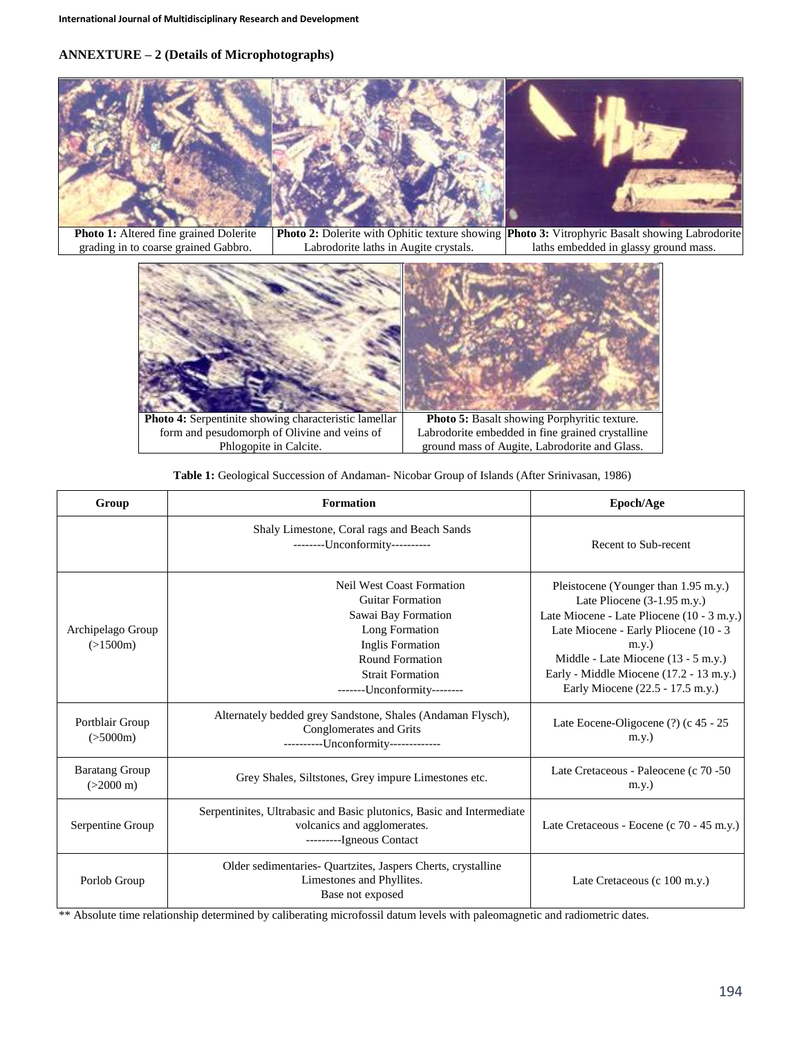# **ANNEXTURE – 2 (Details of Microphotographs)**



|  |  |  | Table 1: Geological Succession of Andaman-Nicobar Group of Islands (After Srinivasan, 1986) |  |
|--|--|--|---------------------------------------------------------------------------------------------|--|
|  |  |  |                                                                                             |  |

| Group                                        | <b>Formation</b>                                                                                                                                                                                      | Epoch/Age                                                                                                                                                                                                                                                                                      |  |
|----------------------------------------------|-------------------------------------------------------------------------------------------------------------------------------------------------------------------------------------------------------|------------------------------------------------------------------------------------------------------------------------------------------------------------------------------------------------------------------------------------------------------------------------------------------------|--|
|                                              | Shaly Limestone, Coral rags and Beach Sands<br>--------Unconformity----------                                                                                                                         | Recent to Sub-recent                                                                                                                                                                                                                                                                           |  |
| Archipelago Group<br>(>1500m)                | <b>Neil West Coast Formation</b><br><b>Guitar Formation</b><br>Sawai Bay Formation<br>Long Formation<br>Inglis Formation<br>Round Formation<br><b>Strait Formation</b><br>-------Unconformity-------- | Pleistocene (Younger than 1.95 m.y.)<br>Late Pliocene (3-1.95 m.y.)<br>Late Miocene - Late Pliocene (10 - 3 m.y.)<br>Late Miocene - Early Pliocene (10 - 3<br>$m.y.$ )<br>Middle - Late Miocene $(13 - 5$ m.y.)<br>Early - Middle Miocene (17.2 - 13 m.y.)<br>Early Miocene (22.5 - 17.5 m.y.) |  |
| Portblair Group<br>(>5000m)                  | Alternately bedded grey Sandstone, Shales (Andaman Flysch),<br>Conglomerates and Grits<br>----------Unconformity-------------                                                                         | Late Eocene-Oligocene (?) (c 45 - 25<br>$m.v.$ )                                                                                                                                                                                                                                               |  |
| <b>Baratang Group</b><br>$(>2000 \text{ m})$ | Grey Shales, Siltstones, Grey impure Limestones etc.                                                                                                                                                  | Late Cretaceous - Paleocene (c 70 -50)<br>$m.y.$ )                                                                                                                                                                                                                                             |  |
| Serpentine Group                             | Serpentinites, Ultrabasic and Basic plutonics, Basic and Intermediate<br>volcanics and agglomerates.<br>---------Igneous Contact                                                                      | Late Cretaceous - Eocene (c 70 - 45 m.y.)                                                                                                                                                                                                                                                      |  |
| Porlob Group                                 | Older sedimentaries- Quartzites, Jaspers Cherts, crystalline<br>Limestones and Phyllites.<br>Base not exposed                                                                                         | Late Cretaceous (c 100 m.y.)                                                                                                                                                                                                                                                                   |  |

\*\* Absolute time relationship determined by caliberating microfossil datum levels with paleomagnetic and radiometric dates.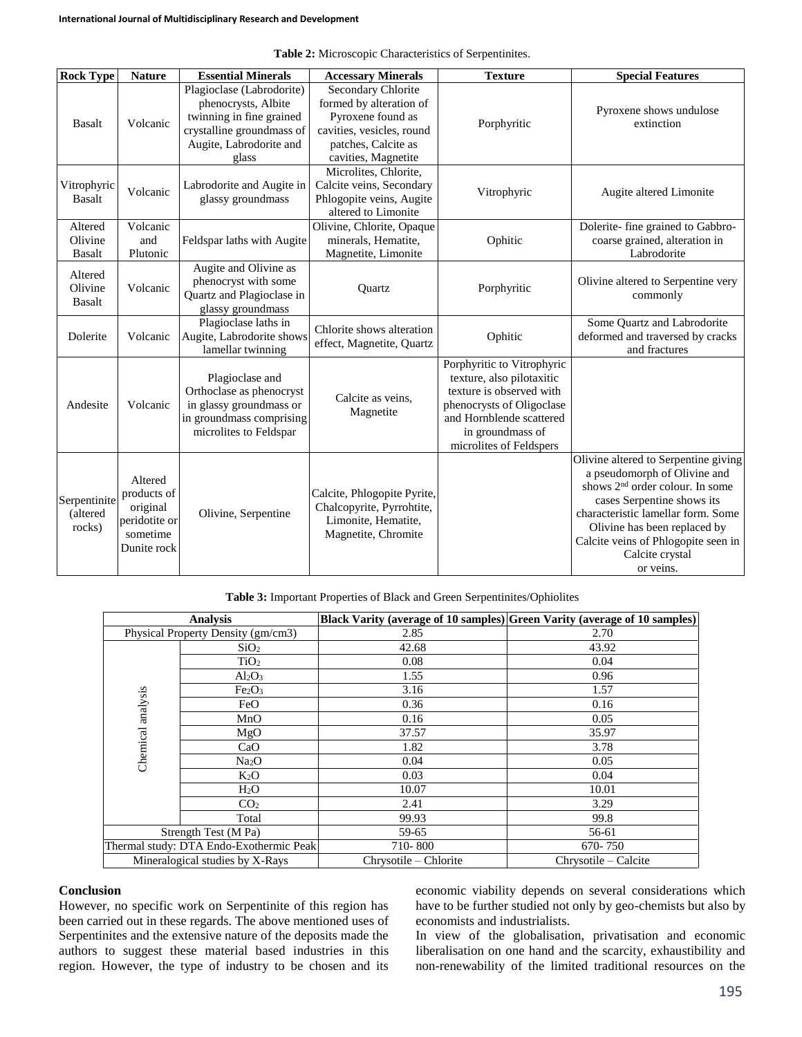| <b>Rock Type</b>                    | <b>Nature</b>                                                                  | <b>Essential Minerals</b>                                                                                                                     | <b>Accessary Minerals</b>                                                                                                                     | <b>Texture</b>                                                                                                                                                                              | <b>Special Features</b>                                                                                                                                                                                                                                                                        |
|-------------------------------------|--------------------------------------------------------------------------------|-----------------------------------------------------------------------------------------------------------------------------------------------|-----------------------------------------------------------------------------------------------------------------------------------------------|---------------------------------------------------------------------------------------------------------------------------------------------------------------------------------------------|------------------------------------------------------------------------------------------------------------------------------------------------------------------------------------------------------------------------------------------------------------------------------------------------|
| <b>Basalt</b>                       | Volcanic                                                                       | Plagioclase (Labrodorite)<br>phenocrysts, Albite<br>twinning in fine grained<br>crystalline groundmass of<br>Augite, Labrodorite and<br>glass | Secondary Chlorite<br>formed by alteration of<br>Pyroxene found as<br>cavities, vesicles, round<br>patches, Calcite as<br>cavities, Magnetite | Porphyritic                                                                                                                                                                                 | Pyroxene shows undulose<br>extinction                                                                                                                                                                                                                                                          |
| Vitrophyric<br><b>Basalt</b>        | Volcanic                                                                       | Labrodorite and Augite in<br>glassy groundmass                                                                                                | Microlites, Chlorite,<br>Calcite veins, Secondary<br>Phlogopite veins, Augite<br>altered to Limonite                                          | Vitrophyric                                                                                                                                                                                 | Augite altered Limonite                                                                                                                                                                                                                                                                        |
| Altered<br>Olivine<br><b>Basalt</b> | Volcanic<br>and<br>Plutonic                                                    | Feldspar laths with Augite                                                                                                                    | Olivine, Chlorite, Opaque<br>minerals, Hematite,<br>Magnetite, Limonite                                                                       | Ophitic                                                                                                                                                                                     | Dolerite-fine grained to Gabbro-<br>coarse grained, alteration in<br>Labrodorite                                                                                                                                                                                                               |
| Altered<br>Olivine<br><b>Basalt</b> | Volcanic                                                                       | Augite and Olivine as<br>phenocryst with some<br>Quartz and Plagioclase in<br>glassy groundmass                                               | Ouartz                                                                                                                                        | Porphyritic                                                                                                                                                                                 | Olivine altered to Serpentine very<br>commonly                                                                                                                                                                                                                                                 |
| Dolerite                            | Volcanic                                                                       | Plagioclase laths in<br>Augite, Labrodorite shows<br>lamellar twinning                                                                        | Chlorite shows alteration<br>effect, Magnetite, Quartz                                                                                        | Ophitic                                                                                                                                                                                     | Some Quartz and Labrodorite<br>deformed and traversed by cracks<br>and fractures                                                                                                                                                                                                               |
| Andesite                            | Volcanic                                                                       | Plagioclase and<br>Orthoclase as phenocryst<br>in glassy groundmass or<br>in groundmass comprising<br>microlites to Feldspar                  | Calcite as veins,<br>Magnetite                                                                                                                | Porphyritic to Vitrophyric<br>texture, also pilotaxitic<br>texture is observed with<br>phenocrysts of Oligoclase<br>and Hornblende scattered<br>in groundmass of<br>microlites of Feldspers |                                                                                                                                                                                                                                                                                                |
| Serpentinite<br>(altered<br>rocks)  | Altered<br>products of<br>original<br>peridotite or<br>sometime<br>Dunite rock | Olivine, Serpentine                                                                                                                           | Calcite, Phlogopite Pyrite,<br>Chalcopyrite, Pyrrohtite,<br>Limonite, Hematite,<br>Magnetite, Chromite                                        |                                                                                                                                                                                             | Olivine altered to Serpentine giving<br>a pseudomorph of Olivine and<br>shows 2 <sup>nd</sup> order colour. In some<br>cases Serpentine shows its<br>characteristic lamellar form. Some<br>Olivine has been replaced by<br>Calcite veins of Phlogopite seen in<br>Calcite crystal<br>or veins. |

**Table 2:** Microscopic Characteristics of Serpentinites.

**Table 3:** Important Properties of Black and Green Serpentinites/Ophiolites

|                                         | <b>Analysis</b>                | Black Varity (average of 10 samples) Green Varity (average of 10 samples) |                      |  |
|-----------------------------------------|--------------------------------|---------------------------------------------------------------------------|----------------------|--|
| Physical Property Density (gm/cm3)      |                                | 2.85                                                                      | 2.70                 |  |
|                                         | SiO <sub>2</sub>               | 42.68                                                                     | 43.92                |  |
|                                         | TiO <sub>2</sub>               | 0.08                                                                      | 0.04                 |  |
|                                         | $Al_2O_3$                      | 1.55                                                                      | 0.96                 |  |
|                                         | Fe <sub>2</sub> O <sub>3</sub> | 3.16                                                                      | 1.57                 |  |
|                                         | FeO                            | 0.36                                                                      | 0.16                 |  |
| Chemical analysis                       | MnO                            | 0.16                                                                      | 0.05                 |  |
|                                         | MgO                            | 37.57                                                                     | 35.97                |  |
|                                         | CaO                            | 1.82                                                                      | 3.78                 |  |
|                                         | Na <sub>2</sub> O              | 0.04                                                                      | 0.05                 |  |
|                                         | $K_2O$                         | 0.03                                                                      | 0.04                 |  |
|                                         | $H_2O$                         | 10.07                                                                     | 10.01                |  |
|                                         | CO <sub>2</sub>                | 2.41                                                                      | 3.29                 |  |
|                                         | Total                          | 99.93                                                                     | 99.8                 |  |
| Strength Test (M Pa)                    |                                | 59-65                                                                     | 56-61                |  |
| Thermal study: DTA Endo-Exothermic Peak |                                | 710-800                                                                   | 670-750              |  |
| Mineralogical studies by X-Rays         |                                | Chrysotile – Chlorite                                                     | Chrysotile – Calcite |  |

#### **Conclusion**

However, no specific work on Serpentinite of this region has been carried out in these regards. The above mentioned uses of Serpentinites and the extensive nature of the deposits made the authors to suggest these material based industries in this region. However, the type of industry to be chosen and its economic viability depends on several considerations which have to be further studied not only by geo-chemists but also by economists and industrialists.

In view of the globalisation, privatisation and economic liberalisation on one hand and the scarcity, exhaustibility and non-renewability of the limited traditional resources on the